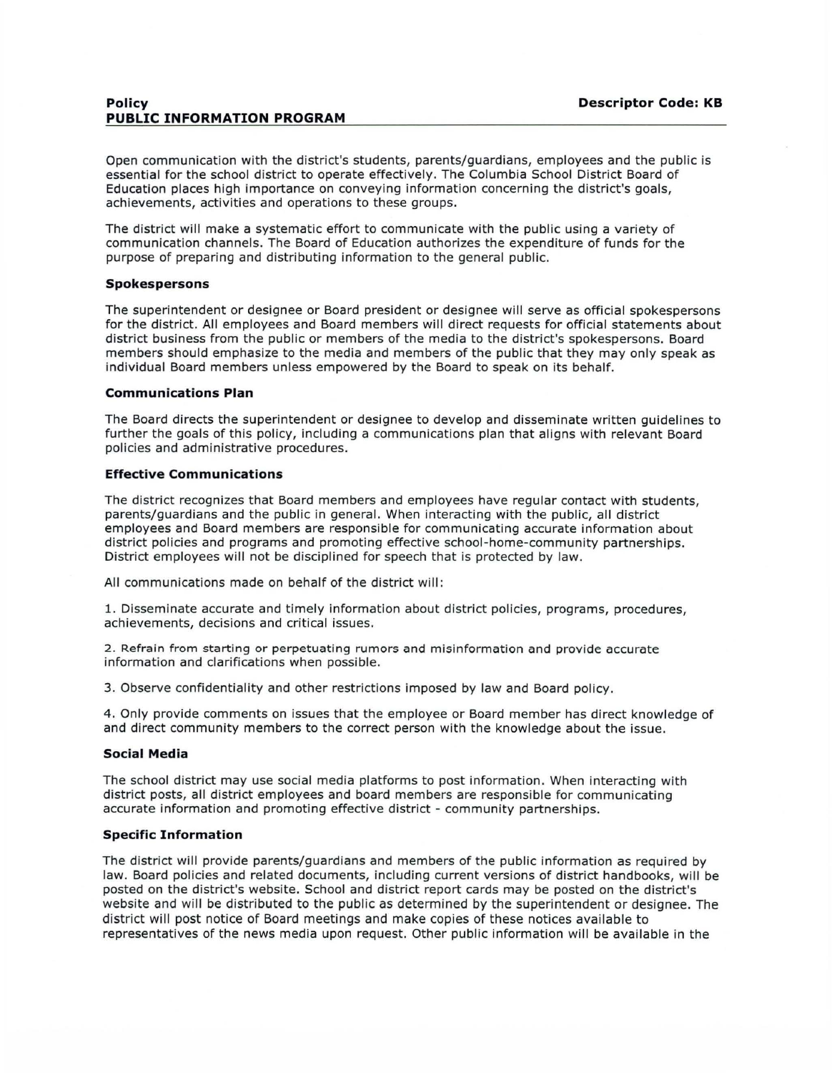Open communication with the district's students, parents/guardians, employees and the public is essential for the school district to operate effectively. The Columbia School District Board of Education places high importance on conveying information concerning the district's goals, achievements, activities and operations to these groups.

The district will make a systematic effort to communicate with the public using a variety of communication channels. The Board of Education authorizes the expenditure of funds for the purpose of preparing and distributing information to the general public.

## **Spokespersons**

The superintendent or designee or Board president or designee will serve as official spokespersons for the district. All employees and Board members will direct requests for official statements about district business from the public or members of the media to the district's spokespersons. Board members should emphasize to the media and members of the public that they may only speak as individual Board members unless empowered by the Board to speak on its behalf.

#### **Communications Plan**

The Board directs the superintendent or designee to develop and disseminate written guidelines to further the goals of this policy, including a communications plan that aligns with relevant Board policies and administrative procedures.

## **Effective Communications**

The district recognizes that Board members and employees have regular contact with students, parents/guardians and the public in general. When interacting with the public, all district employees and Board members are responsible for communicating accurate information about district policies and programs and promoting effective school-home-community partnerships. District employees will not be disciplined for speech that is protected by law.

All communications made on behalf of the district will:

1. Disseminate accurate and timely information about district policies, programs, procedures, achievements, decisions and critical issues.

2 . Refrain from starting or perpetuating rumors and misinformation and provide accurate information and clarifications when possible.

3. Observe confidentiality and other restrictions imposed by law and Board policy.

4. Only provide comments on issues that the employee or Board member has direct knowledge of and direct community members to the correct person with the knowledge about the issue.

#### **Social Media**

The school district may use social media platforms to post information. When interacting with district posts, all district employees and board members are responsible for communicating accurate information and promoting effective district- community partnerships.

# **Specific Information**

The district will provide parents/guardians and members of the public information as required by law. Board policies and related documents, including current versions of district handbooks, will be posted on the district's website. School and district report cards may be posted on the district's website and will be distributed to the public as determined by the superintendent or designee. The district will post notice of Board meetings and make copies of these notices available to representatives of the news media upon request. Other public information will be available in the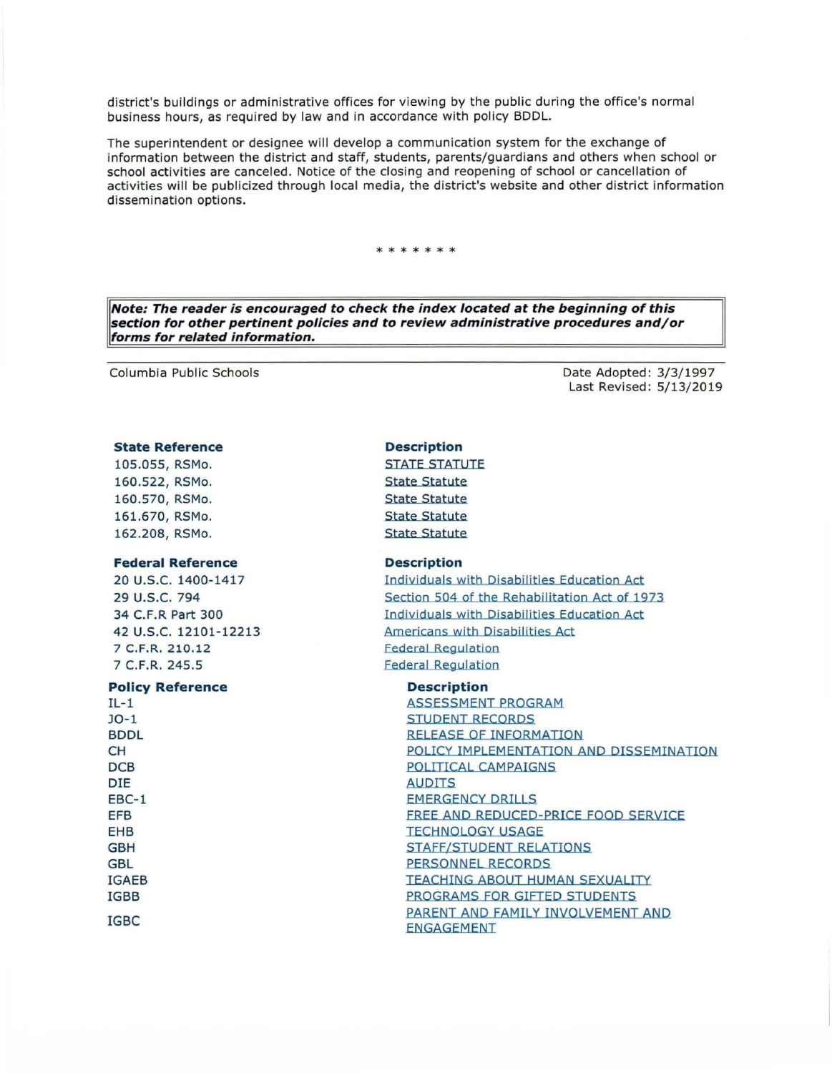district's buildings or administrative offices for viewing by the public during the office's normal business hours, as required by law and in accordance with policy BDDL.

The superintendent or designee will develop a communication system for the exchange of information between the district and staff, students, parents/guardians and others when school or school activities are canceled. Notice of the closing and reopening of school or cancellation of activities will be publicized through local media, the district's website and other district information dissemination options.

# \*\*\*\*\*\*

**Note: The reader is encouraged to check the index located at the beginning of this section for other pertinent policies and to review administrative procedures and/or forms for related information.** 

Columbia Public Schools

## **State Reference**

105.055, RSMo. 160.522, RSMo. 160.570, RSMo. 161.670, RSMo. 162.208, RSMo.

#### **Federal Reference**

20 U.S.C. 1400-1417 29 u.s.c. 794 34 C.F.R Part 300 42 u.s.c. 12101-12213 7 C.F.R. 210.12 7 C.F.R. 245.5

## **Policy Reference**

 $IL-1$ J0-1 BDDL CH **DCB** DIE EBC-1 EFB EHB GBH GBL IGAEB IGBB IGBC

Date Adopted: 3/3/1997 Last Revised: 5/13/2019

# **Description**

STATE STATUTE State Statute State Statute State Statute State Statute

#### **Description**

Individuals with Disabilities Education Act Section 504 of the Rehabilitation Act of 1973 Individuals with Disabilities Education Act Americans with Disabilities Act Federal Regulation Federal Regulation

## **Description**

ASSESSMENT PROGRAM STUDENT RECORDS RELEASE OF INFORMATION POLICY IMPLEMENTATION AND DISSEMINATION POLITICAL CAMPAIGNS AUDITS EMERGENCY DRillS FREE AND REDUCED-PRICE FOOD SERVICE TECHNOLOGY USAGE STAFF/STUDENT RELATIONS PERSONNEL RECORDS TEACHING ABOUT HUMAN SEXUALITY PROGRAMS FOR GIFTED STUDENTS PARENT AND FAMILY INVOLVEMENT AND ENGAGEMENT